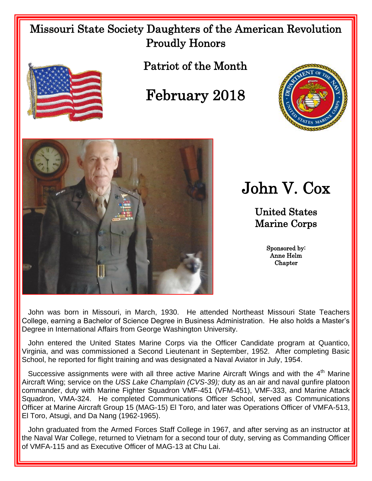## Missouri State Society Daughters of the American Revolution Proudly Honors



Patriot of the Month

## February 2018





John V. Cox

United States Marine Corps

> Sponsored by: Anne Helm **Chapter**

 John was born in Missouri, in March, 1930. He attended Northeast Missouri State Teachers College, earning a Bachelor of Science Degree in Business Administration. He also holds a Master's Degree in International Affairs from George Washington University.

 John entered the United States Marine Corps via the Officer Candidate program at Quantico, Virginia, and was commissioned a Second Lieutenant in September, 1952. After completing Basic School, he reported for flight training and was designated a Naval Aviator in July, 1954.

Successive assignments were with all three active Marine Aircraft Wings and with the 4<sup>th</sup> Marine Aircraft Wing; service on the *USS Lake Champlain (CVS-39);* duty as an air and naval gunfire platoon commander, duty with Marine Fighter Squadron VMF-451 (VFM-451), VMF-333, and Marine Attack Squadron, VMA-324. He completed Communications Officer School, served as Communications Officer at Marine Aircraft Group 15 (MAG-15) El Toro, and later was Operations Officer of VMFA-513, El Toro, Atsugi, and Da Nang (1962-1965).

John graduated from the Armed Forces Staff College in 1967, and after serving as an instructor at the Naval War College, returned to Vietnam for a second tour of duty, serving as Commanding Officer of VMFA-115 and as Executive Officer of MAG-13 at Chu Lai.